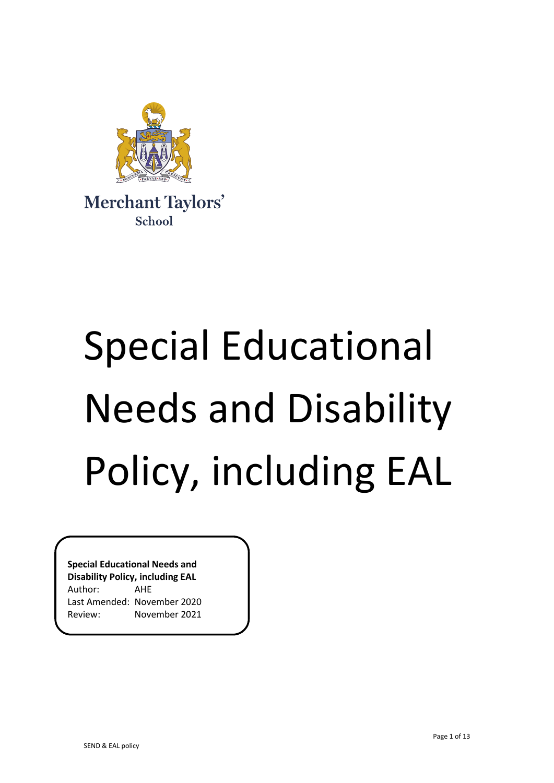

# Special Educational Needs and Disability Policy, including EAL

**Special Educational Needs and Disability Policy, including EAL** Author: AHE Last Amended: November 2020 Review: November 2021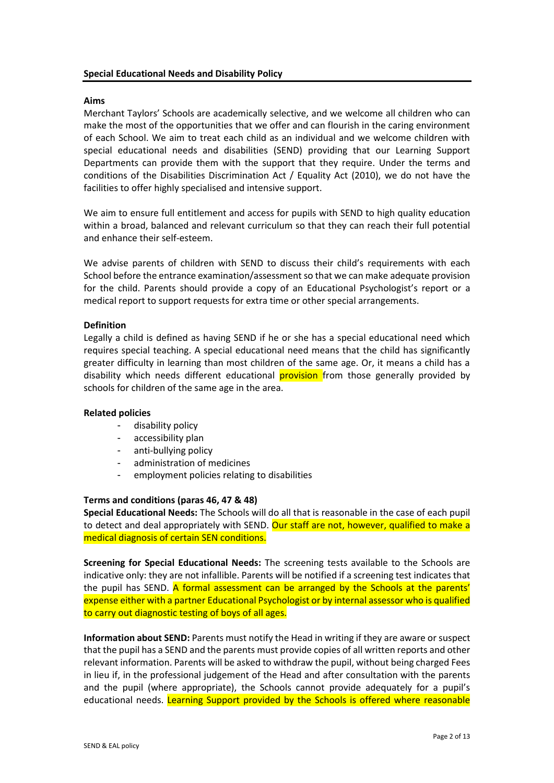### **Aims**

Merchant Taylors' Schools are academically selective, and we welcome all children who can make the most of the opportunities that we offer and can flourish in the caring environment of each School. We aim to treat each child as an individual and we welcome children with special educational needs and disabilities (SEND) providing that our Learning Support Departments can provide them with the support that they require. Under the terms and conditions of the Disabilities Discrimination Act / Equality Act (2010), we do not have the facilities to offer highly specialised and intensive support.

We aim to ensure full entitlement and access for pupils with SEND to high quality education within a broad, balanced and relevant curriculum so that they can reach their full potential and enhance their self-esteem.

We advise parents of children with SEND to discuss their child's requirements with each School before the entrance examination/assessment so that we can make adequate provision for the child. Parents should provide a copy of an Educational Psychologist's report or a medical report to support requests for extra time or other special arrangements.

#### **Definition**

Legally a child is defined as having SEND if he or she has a special educational need which requires special teaching. A special educational need means that the child has significantly greater difficulty in learning than most children of the same age. Or, it means a child has a disability which needs different educational **provision** from those generally provided by schools for children of the same age in the area.

#### **Related policies**

- disability policy
- accessibility plan
- anti-bullying policy
- administration of medicines
- employment policies relating to disabilities

#### **Terms and conditions (paras 46, 47 & 48)**

**Special Educational Needs:** The Schools will do all that is reasonable in the case of each pupil to detect and deal appropriately with SEND. Our staff are not, however, qualified to make a medical diagnosis of certain SEN conditions.

**Screening for Special Educational Needs:** The screening tests available to the Schools are indicative only: they are not infallible. Parents will be notified if a screening test indicates that the pupil has SEND. A formal assessment can be arranged by the Schools at the parents' expense either with a partner Educational Psychologist or by internal assessor who is qualified to carry out diagnostic testing of boys of all ages.

**Information about SEND:** Parents must notify the Head in writing if they are aware or suspect that the pupil has a SEND and the parents must provide copies of all written reports and other relevant information. Parents will be asked to withdraw the pupil, without being charged Fees in lieu if, in the professional judgement of the Head and after consultation with the parents and the pupil (where appropriate), the Schools cannot provide adequately for a pupil's educational needs. Learning Support provided by the Schools is offered where reasonable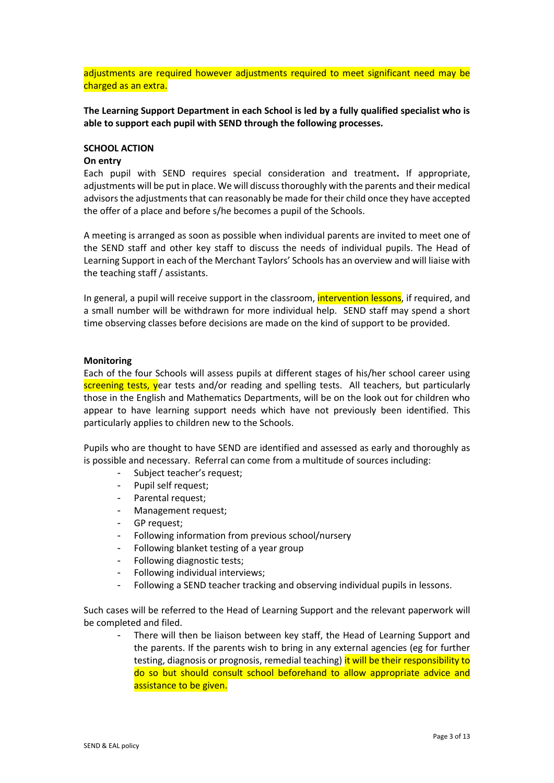adjustments are required however adjustments required to meet significant need may be charged as an extra.

**The Learning Support Department in each School is led by a fully qualified specialist who is able to support each pupil with SEND through the following processes.**

#### **SCHOOL ACTION**

#### **On entry**

Each pupil with SEND requires special consideration and treatment**.** If appropriate, adjustments will be put in place. We will discuss thoroughly with the parents and their medical advisors the adjustments that can reasonably be made for their child once they have accepted the offer of a place and before s/he becomes a pupil of the Schools.

A meeting is arranged as soon as possible when individual parents are invited to meet one of the SEND staff and other key staff to discuss the needs of individual pupils. The Head of Learning Support in each of the Merchant Taylors' Schools has an overview and will liaise with the teaching staff / assistants.

In general, a pupil will receive support in the classroom, intervention lessons, if required, and a small number will be withdrawn for more individual help. SEND staff may spend a short time observing classes before decisions are made on the kind of support to be provided.

#### **Monitoring**

Each of the four Schools will assess pupils at different stages of his/her school career using screening tests, year tests and/or reading and spelling tests. All teachers, but particularly those in the English and Mathematics Departments, will be on the look out for children who appear to have learning support needs which have not previously been identified. This particularly applies to children new to the Schools.

Pupils who are thought to have SEND are identified and assessed as early and thoroughly as is possible and necessary. Referral can come from a multitude of sources including:

- Subject teacher's request;
- Pupil self request;
- Parental request;
- Management request;
- GP request;
- Following information from previous school/nursery
- Following blanket testing of a year group
- Following diagnostic tests;
- Following individual interviews;
- Following a SEND teacher tracking and observing individual pupils in lessons.

Such cases will be referred to the Head of Learning Support and the relevant paperwork will be completed and filed.

There will then be liaison between key staff, the Head of Learning Support and the parents. If the parents wish to bring in any external agencies (eg for further testing, diagnosis or prognosis, remedial teaching) it will be their responsibility to do so but should consult school beforehand to allow appropriate advice and assistance to be given.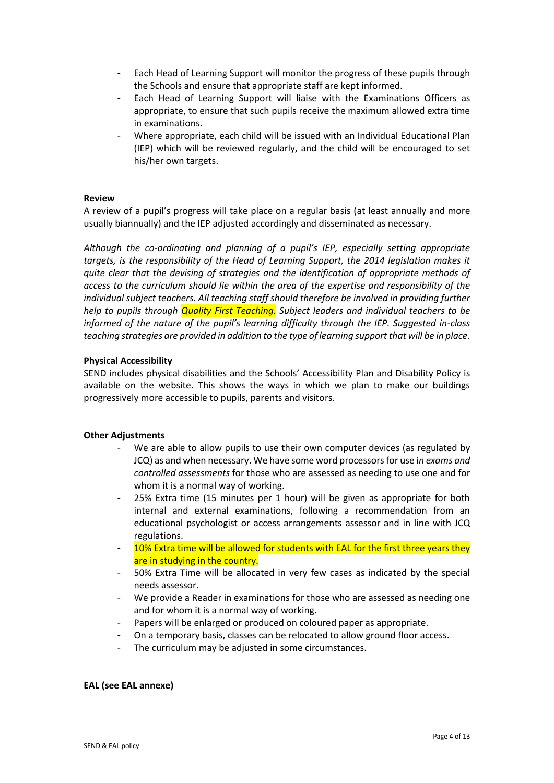- Each Head of Learning Support will monitor the progress of these pupils through the Schools and ensure that appropriate staff are kept informed.
- Each Head of Learning Support will liaise with the Examinations Officers as appropriate, to ensure that such pupils receive the maximum allowed extra time in examinations.
- Where appropriate, each child will be issued with an Individual Educational Plan (IEP) which will be reviewed regularly, and the child will be encouraged to set his/her own targets.

#### **Review**

A review of a pupil's progress will take place on a regular basis (at least annually and more usually biannually) and the IEP adjusted accordingly and disseminated as necessary.

*Although the co-ordinating and planning of a pupil's IEP, especially setting appropriate targets, is the responsibility of the Head of Learning Support, the 2014 legislation makes it quite clear that the devising of strategies and the identification of appropriate methods of access to the curriculum should lie within the area of the expertise and responsibility of the individual subject teachers. All teaching staff should therefore be involved in providing further help to pupils through Quality First Teaching. Subject leaders and individual teachers to be informed of the nature of the pupil's learning difficulty through the IEP. Suggested in-class teaching strategies are provided in addition to the type of learning support that will be in place.* 

#### **Physical Accessibility**

SEND includes physical disabilities and the Schools' Accessibility Plan and Disability Policy is available on the website. This shows the ways in which we plan to make our buildings progressively more accessible to pupils, parents and visitors.

# **Other Adjustments**

- We are able to allow pupils to use their own computer devices (as regulated by JCQ) as and when necessary. We have some word processors for use i*n exams and controlled assessments* for those who are assessed as needing to use one and for whom it is a normal way of working.
- 25% Extra time (15 minutes per 1 hour) will be given as appropriate for both internal and external examinations, following a recommendation from an educational psychologist or access arrangements assessor and in line with JCQ regulations.
- 10% Extra time will be allowed for students with EAL for the first three years they are in studying in the country.
- 50% Extra Time will be allocated in very few cases as indicated by the special needs assessor.
- We provide a Reader in examinations for those who are assessed as needing one and for whom it is a normal way of working.
- Papers will be enlarged or produced on coloured paper as appropriate.
- On a temporary basis, classes can be relocated to allow ground floor access.
- The curriculum may be adjusted in some circumstances.

#### **EAL (see EAL annexe)**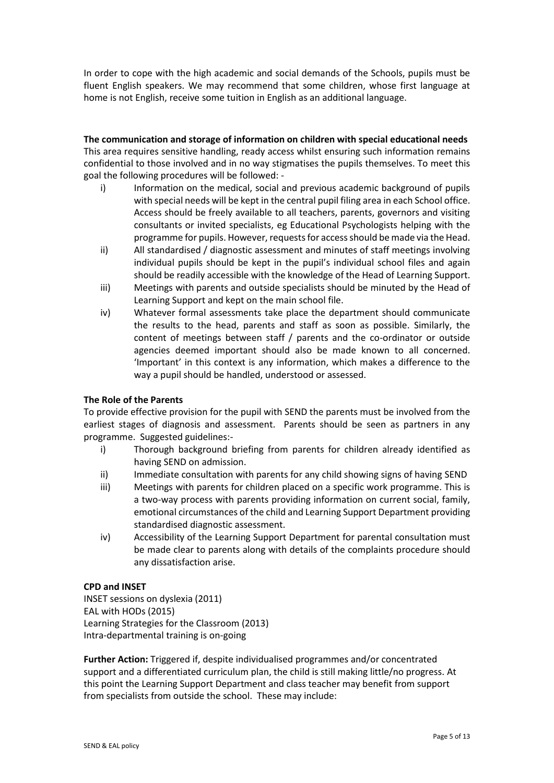In order to cope with the high academic and social demands of the Schools, pupils must be fluent English speakers. We may recommend that some children, whose first language at home is not English, receive some tuition in English as an additional language.

# **The communication and storage of information on children with special educational needs**

This area requires sensitive handling, ready access whilst ensuring such information remains confidential to those involved and in no way stigmatises the pupils themselves. To meet this goal the following procedures will be followed: -

- i) Information on the medical, social and previous academic background of pupils with special needs will be kept in the central pupil filing area in each School office. Access should be freely available to all teachers, parents, governors and visiting consultants or invited specialists, eg Educational Psychologists helping with the programme for pupils. However, requests for access should be made via the Head.
- ii) All standardised / diagnostic assessment and minutes of staff meetings involving individual pupils should be kept in the pupil's individual school files and again should be readily accessible with the knowledge of the Head of Learning Support.
- iii) Meetings with parents and outside specialists should be minuted by the Head of Learning Support and kept on the main school file.
- iv) Whatever formal assessments take place the department should communicate the results to the head, parents and staff as soon as possible. Similarly, the content of meetings between staff / parents and the co-ordinator or outside agencies deemed important should also be made known to all concerned. 'Important' in this context is any information, which makes a difference to the way a pupil should be handled, understood or assessed.

# **The Role of the Parents**

To provide effective provision for the pupil with SEND the parents must be involved from the earliest stages of diagnosis and assessment. Parents should be seen as partners in any programme. Suggested guidelines:-

- i) Thorough background briefing from parents for children already identified as having SEND on admission.
- ii) Immediate consultation with parents for any child showing signs of having SEND
- iii) Meetings with parents for children placed on a specific work programme. This is a two-way process with parents providing information on current social, family, emotional circumstances of the child and Learning Support Department providing standardised diagnostic assessment.
- iv) Accessibility of the Learning Support Department for parental consultation must be made clear to parents along with details of the complaints procedure should any dissatisfaction arise.

# **CPD and INSET**

INSET sessions on dyslexia (2011) EAL with HODs (2015) Learning Strategies for the Classroom (2013) Intra-departmental training is on-going

**Further Action:** Triggered if, despite individualised programmes and/or concentrated support and a differentiated curriculum plan, the child is still making little/no progress. At this point the Learning Support Department and class teacher may benefit from support from specialists from outside the school. These may include: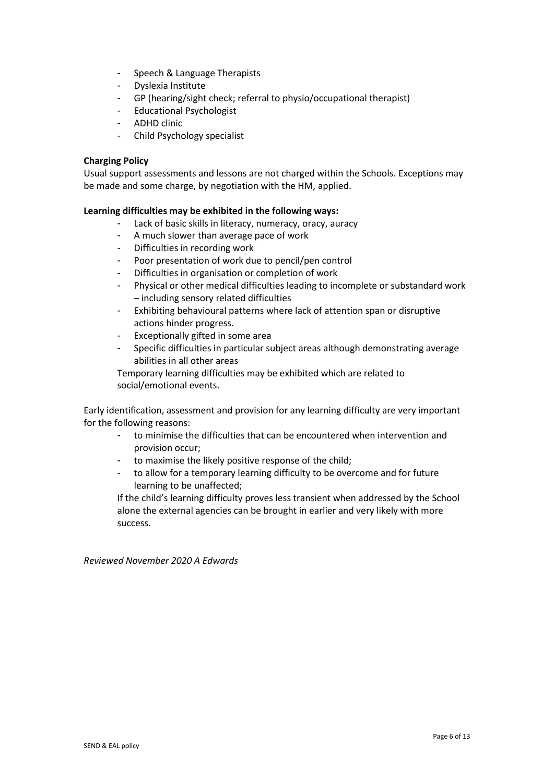- Speech & Language Therapists
- Dyslexia Institute
- GP (hearing/sight check; referral to physio/occupational therapist)
- Educational Psychologist
- ADHD clinic
- Child Psychology specialist

# **Charging Policy**

Usual support assessments and lessons are not charged within the Schools. Exceptions may be made and some charge, by negotiation with the HM, applied.

# **Learning difficulties may be exhibited in the following ways:**

- Lack of basic skills in literacy, numeracy, oracy, auracy
- A much slower than average pace of work
- Difficulties in recording work
- Poor presentation of work due to pencil/pen control
- Difficulties in organisation or completion of work
- Physical or other medical difficulties leading to incomplete or substandard work – including sensory related difficulties
- Exhibiting behavioural patterns where lack of attention span or disruptive actions hinder progress.
- Exceptionally gifted in some area
- Specific difficulties in particular subject areas although demonstrating average abilities in all other areas

Temporary learning difficulties may be exhibited which are related to social/emotional events.

Early identification, assessment and provision for any learning difficulty are very important for the following reasons:

- to minimise the difficulties that can be encountered when intervention and provision occur;
- to maximise the likely positive response of the child;
- to allow for a temporary learning difficulty to be overcome and for future learning to be unaffected;

If the child's learning difficulty proves less transient when addressed by the School alone the external agencies can be brought in earlier and very likely with more success.

*Reviewed November 2020 A Edwards*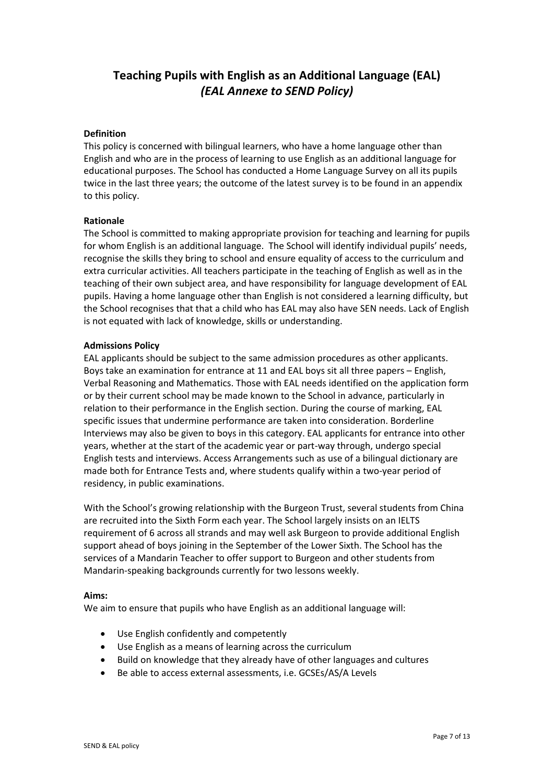# **Teaching Pupils with English as an Additional Language (EAL)**  *(EAL Annexe to SEND Policy)*

#### **Definition**

This policy is concerned with bilingual learners, who have a home language other than English and who are in the process of learning to use English as an additional language for educational purposes. The School has conducted a Home Language Survey on all its pupils twice in the last three years; the outcome of the latest survey is to be found in an appendix to this policy.

#### **Rationale**

The School is committed to making appropriate provision for teaching and learning for pupils for whom English is an additional language. The School will identify individual pupils' needs, recognise the skills they bring to school and ensure equality of access to the curriculum and extra curricular activities. All teachers participate in the teaching of English as well as in the teaching of their own subject area, and have responsibility for language development of EAL pupils. Having a home language other than English is not considered a learning difficulty, but the School recognises that that a child who has EAL may also have SEN needs. Lack of English is not equated with lack of knowledge, skills or understanding.

#### **Admissions Policy**

EAL applicants should be subject to the same admission procedures as other applicants. Boys take an examination for entrance at 11 and EAL boys sit all three papers – English, Verbal Reasoning and Mathematics. Those with EAL needs identified on the application form or by their current school may be made known to the School in advance, particularly in relation to their performance in the English section. During the course of marking, EAL specific issues that undermine performance are taken into consideration. Borderline Interviews may also be given to boys in this category. EAL applicants for entrance into other years, whether at the start of the academic year or part-way through, undergo special English tests and interviews. Access Arrangements such as use of a bilingual dictionary are made both for Entrance Tests and, where students qualify within a two-year period of residency, in public examinations.

With the School's growing relationship with the Burgeon Trust, several students from China are recruited into the Sixth Form each year. The School largely insists on an IELTS requirement of 6 across all strands and may well ask Burgeon to provide additional English support ahead of boys joining in the September of the Lower Sixth. The School has the services of a Mandarin Teacher to offer support to Burgeon and other students from Mandarin-speaking backgrounds currently for two lessons weekly.

#### **Aims:**

We aim to ensure that pupils who have English as an additional language will:

- Use English confidently and competently
- Use English as a means of learning across the curriculum
- Build on knowledge that they already have of other languages and cultures
- Be able to access external assessments, i.e. GCSEs/AS/A Levels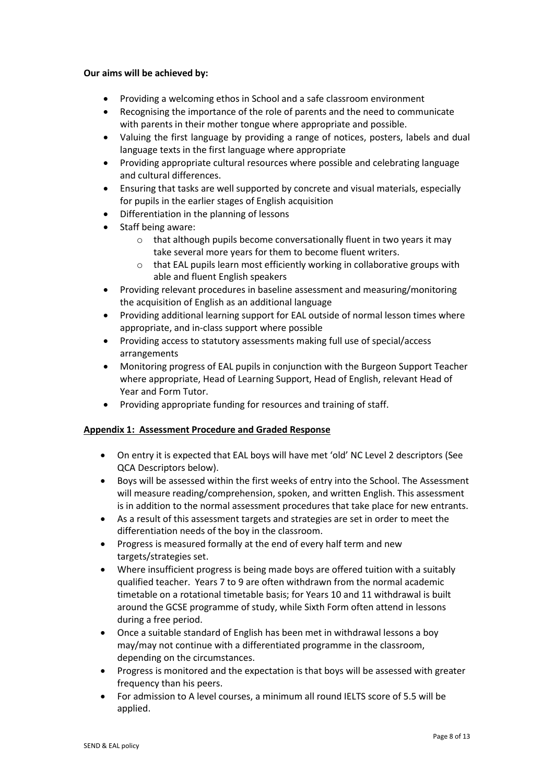#### **Our aims will be achieved by:**

- Providing a welcoming ethos in School and a safe classroom environment
- Recognising the importance of the role of parents and the need to communicate with parents in their mother tongue where appropriate and possible.
- Valuing the first language by providing a range of notices, posters, labels and dual language texts in the first language where appropriate
- Providing appropriate cultural resources where possible and celebrating language and cultural differences.
- Ensuring that tasks are well supported by concrete and visual materials, especially for pupils in the earlier stages of English acquisition
- Differentiation in the planning of lessons
- Staff being aware:
	- o that although pupils become conversationally fluent in two years it may take several more years for them to become fluent writers.
	- o that EAL pupils learn most efficiently working in collaborative groups with able and fluent English speakers
- Providing relevant procedures in baseline assessment and measuring/monitoring the acquisition of English as an additional language
- Providing additional learning support for EAL outside of normal lesson times where appropriate, and in-class support where possible
- Providing access to statutory assessments making full use of special/access arrangements
- Monitoring progress of EAL pupils in conjunction with the Burgeon Support Teacher where appropriate, Head of Learning Support, Head of English, relevant Head of Year and Form Tutor.
- Providing appropriate funding for resources and training of staff.

# **Appendix 1: Assessment Procedure and Graded Response**

- On entry it is expected that EAL boys will have met 'old' NC Level 2 descriptors (See QCA Descriptors below).
- Boys will be assessed within the first weeks of entry into the School. The Assessment will measure reading/comprehension, spoken, and written English. This assessment is in addition to the normal assessment procedures that take place for new entrants.
- As a result of this assessment targets and strategies are set in order to meet the differentiation needs of the boy in the classroom.
- Progress is measured formally at the end of every half term and new targets/strategies set.
- Where insufficient progress is being made boys are offered tuition with a suitably qualified teacher. Years 7 to 9 are often withdrawn from the normal academic timetable on a rotational timetable basis; for Years 10 and 11 withdrawal is built around the GCSE programme of study, while Sixth Form often attend in lessons during a free period.
- Once a suitable standard of English has been met in withdrawal lessons a boy may/may not continue with a differentiated programme in the classroom, depending on the circumstances.
- Progress is monitored and the expectation is that boys will be assessed with greater frequency than his peers.
- For admission to A level courses, a minimum all round IELTS score of 5.5 will be applied.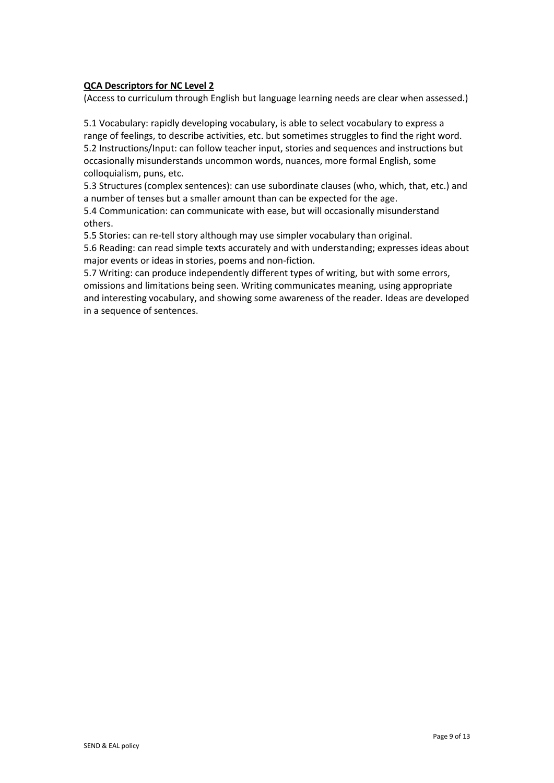# **QCA Descriptors for NC Level 2**

(Access to curriculum through English but language learning needs are clear when assessed.)

5.1 Vocabulary: rapidly developing vocabulary, is able to select vocabulary to express a range of feelings, to describe activities, etc. but sometimes struggles to find the right word. 5.2 Instructions/Input: can follow teacher input, stories and sequences and instructions but occasionally misunderstands uncommon words, nuances, more formal English, some colloquialism, puns, etc.

5.3 Structures (complex sentences): can use subordinate clauses (who, which, that, etc.) and a number of tenses but a smaller amount than can be expected for the age.

5.4 Communication: can communicate with ease, but will occasionally misunderstand others.

5.5 Stories: can re-tell story although may use simpler vocabulary than original.

5.6 Reading: can read simple texts accurately and with understanding; expresses ideas about major events or ideas in stories, poems and non-fiction.

5.7 Writing: can produce independently different types of writing, but with some errors, omissions and limitations being seen. Writing communicates meaning, using appropriate and interesting vocabulary, and showing some awareness of the reader. Ideas are developed in a sequence of sentences.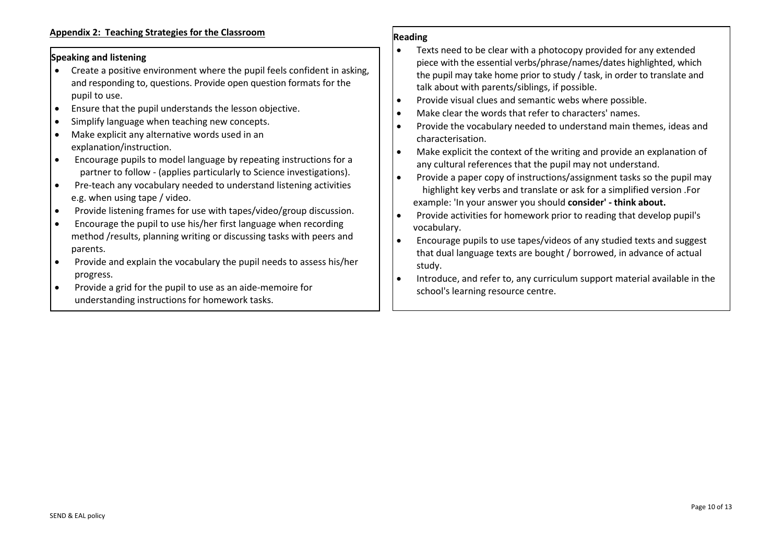# **Speaking and listening**

- Create a positive environment where the pupil feels confident in asking, and responding to, questions. Provide open question formats for the pupil to use.
- Ensure that the pupil understands the lesson objective.
- Simplify language when teaching new concepts.
- Make explicit any alternative words used in an explanation/instruction.
- Encourage pupils to model language by repeating instructions for a partner to follow - (applies particularly to Science investigations).
- Pre-teach any vocabulary needed to understand listening activities e.g. when using tape / video.
- Provide listening frames for use with tapes/video/group discussion.
- Encourage the pupil to use his/her first language when recording method /results, planning writing or discussing tasks with peers and parents.
- Provide and explain the vocabulary the pupil needs to assess his/her progress.
- Provide a grid for the pupil to use as an aide-memoire for understanding instructions for homework tasks.

#### **Reading**

- Texts need to be clear with a photocopy provided for any extended piece with the essential verbs/phrase/names/dates highlighted, which the pupil may take home prior to study / task, in order to translate and talk about with parents/siblings, if possible.
- Provide visual clues and semantic webs where possible.
- Make clear the words that refer to characters' names.
- Provide the vocabulary needed to understand main themes, ideas and characterisation.
- Make explicit the context of the writing and provide an explanation of any cultural references that the pupil may not understand.
- Provide a paper copy of instructions/assignment tasks so the pupil may highlight key verbs and translate or ask for a simplified version .For example: 'In your answer you should **consider' - think about.**
- Provide activities for homework prior to reading that develop pupil's vocabulary.
- Encourage pupils to use tapes/videos of any studied texts and suggest that dual language texts are bought / borrowed, in advance of actual study.
- Introduce, and refer to, any curriculum support material available in the school's learning resource centre.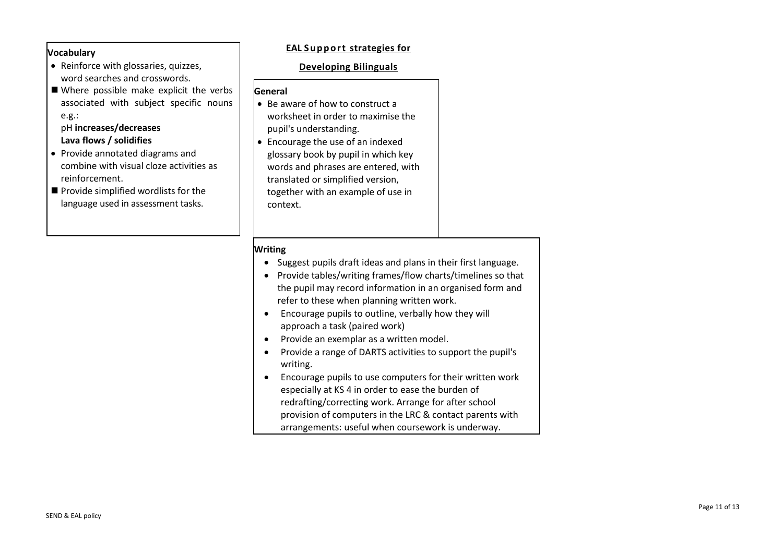# **Vocabulary**

- Reinforce with glossaries, quizzes, word searches and crosswords.
- Where possible make explicit the verbs associated with subject specific nouns e.g.:

# pH **increases/decreases Lava flows / solidifies**

- Provide annotated diagrams and combine with visual cloze activities as reinforcement.
- $\blacksquare$  Provide simplified wordlists for the language used in assessment tasks.

# **EAL** Support strategies for

#### **Developing Bilinguals**

#### **General**

- $\bullet$  Be aware of how to construct a worksheet in order to maximise the pupil's understanding.
- Encourage the use of an indexed glossary book by pupil in which key words and phrases are entered, with translated or simplified version, together with an example of use in context.

# **Writing**

- Suggest pupils draft ideas and plans in their first language.
- Provide tables/writing frames/flow charts/timelines so that the pupil may record information in an organised form and refer to these when planning written work.
- Encourage pupils to outline, verbally how they will approach a task (paired work)
- Provide an exemplar as a written model.
- Provide a range of DARTS activities to support the pupil's writing.
- Encourage pupils to use computers for their written work especially at KS 4 in order to ease the burden of redrafting/correcting work. Arrange for after school provision of computers in the LRC & contact parents with arrangements: useful when coursework is underway.